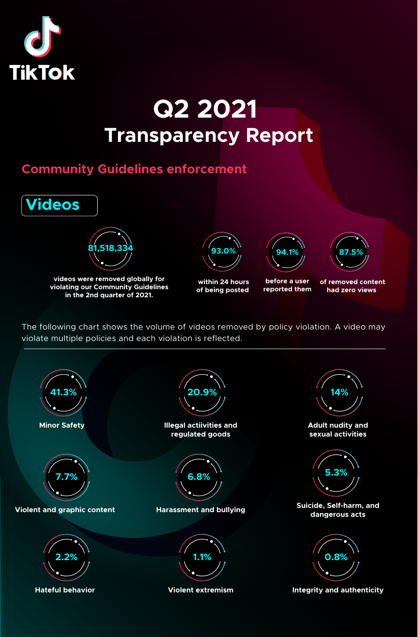

## **Q2 2021 Transparency Report**

## **Community Guidelines enforcement**



The following chart shows the volume of videos removed by policy violation. A video may violate multiple policies and each violation is reflected.

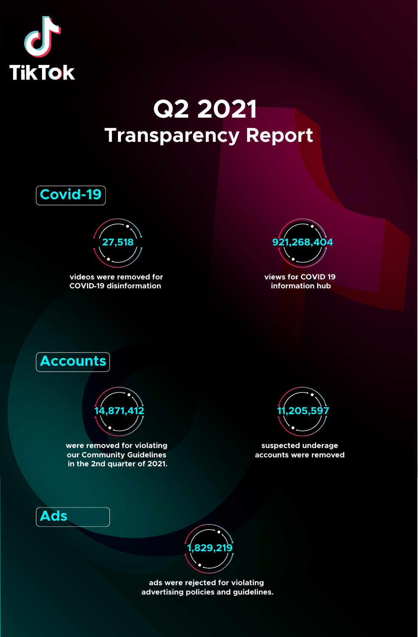

## **Q2 2021 Transparency Report**



**27,518**

**videos were removed for COVID -19 disinformation** 



**views for COVID 19 information hub**



**Ads**



**were removed for violating our Community Guidelines in the 2nd quarter of 2021.**



**suspected underage accounts were removed** 



**ads were rejected for violating advertising policies and guidelines.**